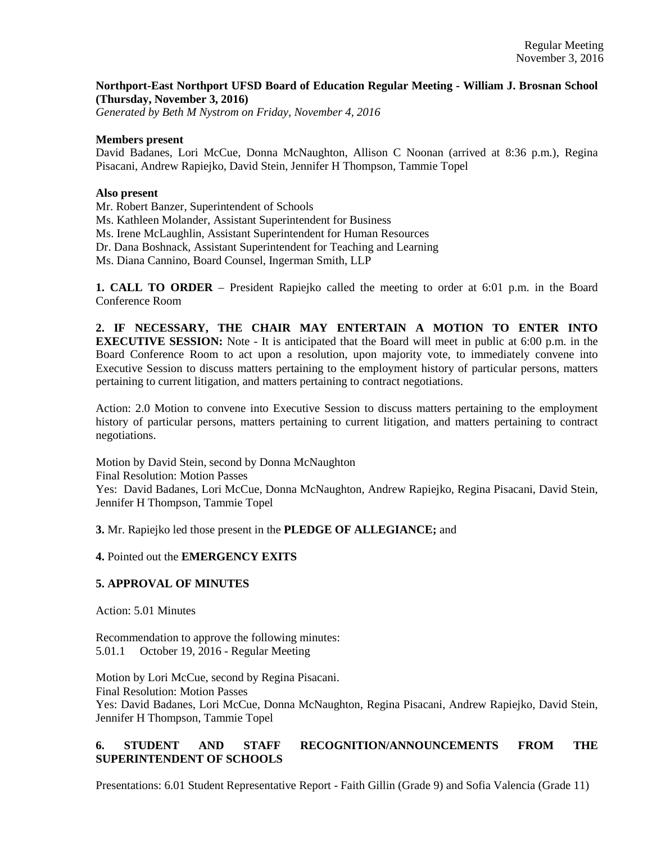# **Northport-East Northport UFSD Board of Education Regular Meeting - William J. Brosnan School (Thursday, November 3, 2016)**

*Generated by Beth M Nystrom on Friday, November 4, 2016*

#### **Members present**

David Badanes, Lori McCue, Donna McNaughton, Allison C Noonan (arrived at 8:36 p.m.), Regina Pisacani, Andrew Rapiejko, David Stein, Jennifer H Thompson, Tammie Topel

#### **Also present**

Mr. Robert Banzer, Superintendent of Schools

Ms. Kathleen Molander, Assistant Superintendent for Business

Ms. Irene McLaughlin, Assistant Superintendent for Human Resources

Dr. Dana Boshnack, Assistant Superintendent for Teaching and Learning

Ms. Diana Cannino, Board Counsel, Ingerman Smith, LLP

**1. CALL TO ORDER** – President Rapiejko called the meeting to order at 6:01 p.m. in the Board Conference Room

**2. IF NECESSARY, THE CHAIR MAY ENTERTAIN A MOTION TO ENTER INTO EXECUTIVE SESSION:** Note - It is anticipated that the Board will meet in public at 6:00 p.m. in the Board Conference Room to act upon a resolution, upon majority vote, to immediately convene into Executive Session to discuss matters pertaining to the employment history of particular persons, matters pertaining to current litigation, and matters pertaining to contract negotiations.

Action: 2.0 Motion to convene into Executive Session to discuss matters pertaining to the employment history of particular persons, matters pertaining to current litigation, and matters pertaining to contract negotiations.

Motion by David Stein, second by Donna McNaughton Final Resolution: Motion Passes Yes: David Badanes, Lori McCue, Donna McNaughton, Andrew Rapiejko, Regina Pisacani, David Stein, Jennifer H Thompson, Tammie Topel

**3.** Mr. Rapiejko led those present in the **PLEDGE OF ALLEGIANCE;** and

# **4.** Pointed out the **EMERGENCY EXITS**

# **5. APPROVAL OF MINUTES**

Action: 5.01 Minutes

Recommendation to approve the following minutes: 5.01.1 October 19, 2016 - Regular Meeting

Motion by Lori McCue, second by Regina Pisacani. Final Resolution: Motion Passes Yes: David Badanes, Lori McCue, Donna McNaughton, Regina Pisacani, Andrew Rapiejko, David Stein, Jennifer H Thompson, Tammie Topel

# **6. STUDENT AND STAFF RECOGNITION/ANNOUNCEMENTS FROM THE SUPERINTENDENT OF SCHOOLS**

Presentations: 6.01 Student Representative Report - Faith Gillin (Grade 9) and Sofia Valencia (Grade 11)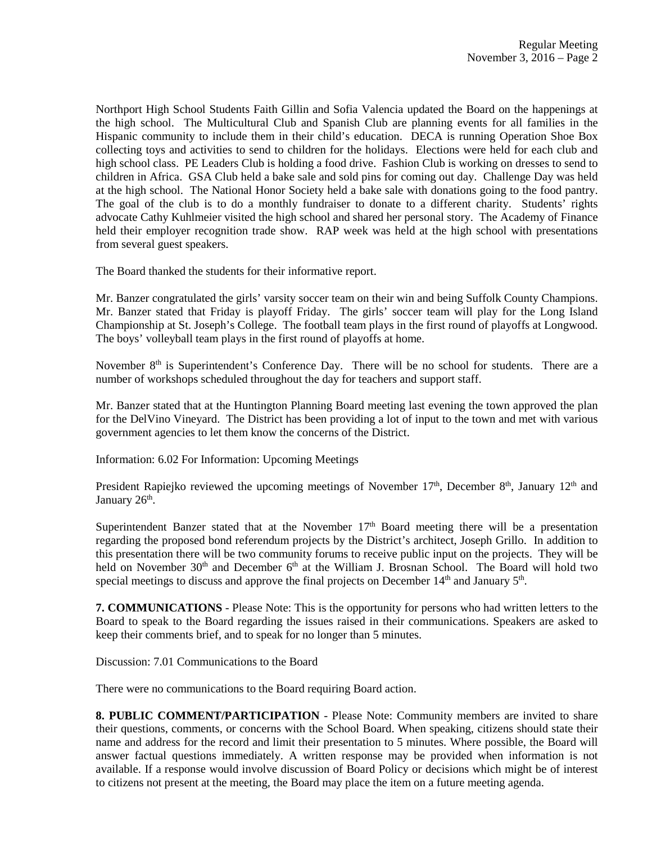Northport High School Students Faith Gillin and Sofia Valencia updated the Board on the happenings at the high school. The Multicultural Club and Spanish Club are planning events for all families in the Hispanic community to include them in their child's education. DECA is running Operation Shoe Box collecting toys and activities to send to children for the holidays. Elections were held for each club and high school class. PE Leaders Club is holding a food drive. Fashion Club is working on dresses to send to children in Africa. GSA Club held a bake sale and sold pins for coming out day. Challenge Day was held at the high school. The National Honor Society held a bake sale with donations going to the food pantry. The goal of the club is to do a monthly fundraiser to donate to a different charity. Students' rights advocate Cathy Kuhlmeier visited the high school and shared her personal story. The Academy of Finance held their employer recognition trade show. RAP week was held at the high school with presentations from several guest speakers.

The Board thanked the students for their informative report.

Mr. Banzer congratulated the girls' varsity soccer team on their win and being Suffolk County Champions. Mr. Banzer stated that Friday is playoff Friday. The girls' soccer team will play for the Long Island Championship at St. Joseph's College. The football team plays in the first round of playoffs at Longwood. The boys' volleyball team plays in the first round of playoffs at home.

November 8<sup>th</sup> is Superintendent's Conference Day. There will be no school for students. There are a number of workshops scheduled throughout the day for teachers and support staff.

Mr. Banzer stated that at the Huntington Planning Board meeting last evening the town approved the plan for the DelVino Vineyard. The District has been providing a lot of input to the town and met with various government agencies to let them know the concerns of the District.

Information: 6.02 For Information: Upcoming Meetings

President Rapiejko reviewed the upcoming meetings of November  $17<sup>th</sup>$ , December  $8<sup>th</sup>$ , January  $12<sup>th</sup>$  and January 26<sup>th</sup>.

Superintendent Banzer stated that at the November  $17<sup>th</sup>$  Board meeting there will be a presentation regarding the proposed bond referendum projects by the District's architect, Joseph Grillo. In addition to this presentation there will be two community forums to receive public input on the projects. They will be held on November 30<sup>th</sup> and December 6<sup>th</sup> at the William J. Brosnan School. The Board will hold two special meetings to discuss and approve the final projects on December  $14<sup>th</sup>$  and January  $5<sup>th</sup>$ .

**7. COMMUNICATIONS** - Please Note: This is the opportunity for persons who had written letters to the Board to speak to the Board regarding the issues raised in their communications. Speakers are asked to keep their comments brief, and to speak for no longer than 5 minutes.

Discussion: 7.01 Communications to the Board

There were no communications to the Board requiring Board action.

**8. PUBLIC COMMENT/PARTICIPATION** - Please Note: Community members are invited to share their questions, comments, or concerns with the School Board. When speaking, citizens should state their name and address for the record and limit their presentation to 5 minutes. Where possible, the Board will answer factual questions immediately. A written response may be provided when information is not available. If a response would involve discussion of Board Policy or decisions which might be of interest to citizens not present at the meeting, the Board may place the item on a future meeting agenda.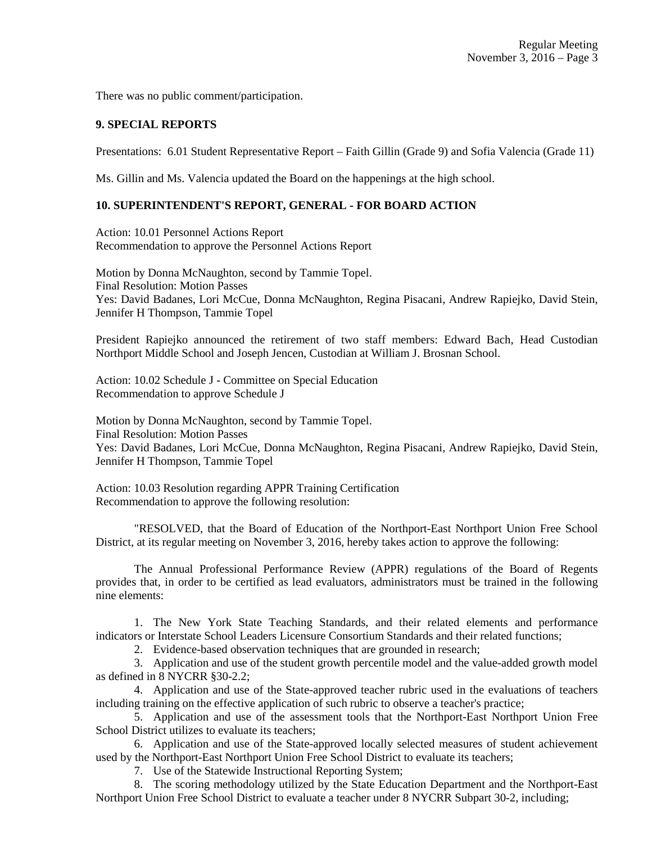There was no public comment/participation.

#### **9. SPECIAL REPORTS**

Presentations: 6.01 Student Representative Report – Faith Gillin (Grade 9) and Sofia Valencia (Grade 11)

Ms. Gillin and Ms. Valencia updated the Board on the happenings at the high school.

# **10. SUPERINTENDENT'S REPORT, GENERAL - FOR BOARD ACTION**

Action: 10.01 Personnel Actions Report Recommendation to approve the Personnel Actions Report

Motion by Donna McNaughton, second by Tammie Topel. Final Resolution: Motion Passes Yes: David Badanes, Lori McCue, Donna McNaughton, Regina Pisacani, Andrew Rapiejko, David Stein, Jennifer H Thompson, Tammie Topel

President Rapiejko announced the retirement of two staff members: Edward Bach, Head Custodian Northport Middle School and Joseph Jencen, Custodian at William J. Brosnan School.

Action: 10.02 Schedule J - Committee on Special Education Recommendation to approve Schedule J

Motion by Donna McNaughton, second by Tammie Topel. Final Resolution: Motion Passes Yes: David Badanes, Lori McCue, Donna McNaughton, Regina Pisacani, Andrew Rapiejko, David Stein, Jennifer H Thompson, Tammie Topel

Action: 10.03 Resolution regarding APPR Training Certification Recommendation to approve the following resolution:

"RESOLVED, that the Board of Education of the Northport-East Northport Union Free School District, at its regular meeting on November 3, 2016, hereby takes action to approve the following:

The Annual Professional Performance Review (APPR) regulations of the Board of Regents provides that, in order to be certified as lead evaluators, administrators must be trained in the following nine elements:

1. The New York State Teaching Standards, and their related elements and performance indicators or Interstate School Leaders Licensure Consortium Standards and their related functions;

2. Evidence-based observation techniques that are grounded in research;

3. Application and use of the student growth percentile model and the value-added growth model as defined in 8 NYCRR §30-2.2;

4. Application and use of the State-approved teacher rubric used in the evaluations of teachers including training on the effective application of such rubric to observe a teacher's practice;

5. Application and use of the assessment tools that the Northport-East Northport Union Free School District utilizes to evaluate its teachers;

6. Application and use of the State-approved locally selected measures of student achievement used by the Northport-East Northport Union Free School District to evaluate its teachers;

7. Use of the Statewide Instructional Reporting System;

8. The scoring methodology utilized by the State Education Department and the Northport-East Northport Union Free School District to evaluate a teacher under 8 NYCRR Subpart 30-2, including;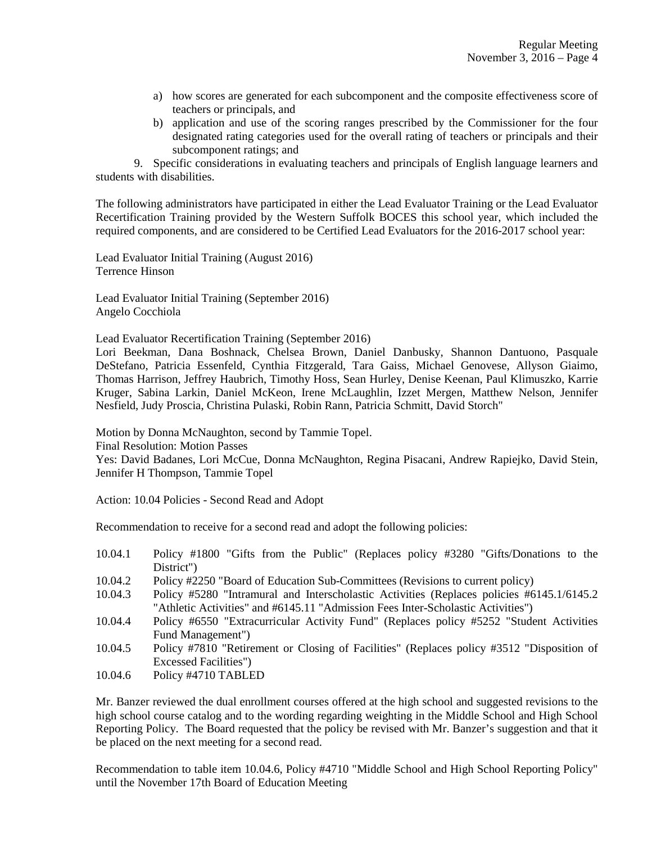- a) how scores are generated for each subcomponent and the composite effectiveness score of teachers or principals, and
- b) application and use of the scoring ranges prescribed by the Commissioner for the four designated rating categories used for the overall rating of teachers or principals and their subcomponent ratings; and

9. Specific considerations in evaluating teachers and principals of English language learners and students with disabilities.

The following administrators have participated in either the Lead Evaluator Training or the Lead Evaluator Recertification Training provided by the Western Suffolk BOCES this school year, which included the required components, and are considered to be Certified Lead Evaluators for the 2016-2017 school year:

Lead Evaluator Initial Training (August 2016) Terrence Hinson

Lead Evaluator Initial Training (September 2016) Angelo Cocchiola

Lead Evaluator Recertification Training (September 2016)

Lori Beekman, Dana Boshnack, Chelsea Brown, Daniel Danbusky, Shannon Dantuono, Pasquale DeStefano, Patricia Essenfeld, Cynthia Fitzgerald, Tara Gaiss, Michael Genovese, Allyson Giaimo, Thomas Harrison, Jeffrey Haubrich, Timothy Hoss, Sean Hurley, Denise Keenan, Paul Klimuszko, Karrie Kruger, Sabina Larkin, Daniel McKeon, Irene McLaughlin, Izzet Mergen, Matthew Nelson, Jennifer Nesfield, Judy Proscia, Christina Pulaski, Robin Rann, Patricia Schmitt, David Storch"

Motion by Donna McNaughton, second by Tammie Topel.

Final Resolution: Motion Passes

Yes: David Badanes, Lori McCue, Donna McNaughton, Regina Pisacani, Andrew Rapiejko, David Stein, Jennifer H Thompson, Tammie Topel

Action: 10.04 Policies - Second Read and Adopt

Recommendation to receive for a second read and adopt the following policies:

- 10.04.1 Policy #1800 "Gifts from the Public" (Replaces policy #3280 "Gifts/Donations to the District")
- 10.04.2 Policy #2250 "Board of Education Sub-Committees (Revisions to current policy)
- 10.04.3 Policy #5280 "Intramural and Interscholastic Activities (Replaces policies #6145.1/6145.2 "Athletic Activities" and #6145.11 "Admission Fees Inter-Scholastic Activities")
- 10.04.4 Policy #6550 "Extracurricular Activity Fund" (Replaces policy #5252 "Student Activities Fund Management")
- 10.04.5 Policy #7810 "Retirement or Closing of Facilities" (Replaces policy #3512 "Disposition of Excessed Facilities")
- 10.04.6 Policy #4710 TABLED

Mr. Banzer reviewed the dual enrollment courses offered at the high school and suggested revisions to the high school course catalog and to the wording regarding weighting in the Middle School and High School Reporting Policy. The Board requested that the policy be revised with Mr. Banzer's suggestion and that it be placed on the next meeting for a second read.

Recommendation to table item 10.04.6, Policy #4710 "Middle School and High School Reporting Policy" until the November 17th Board of Education Meeting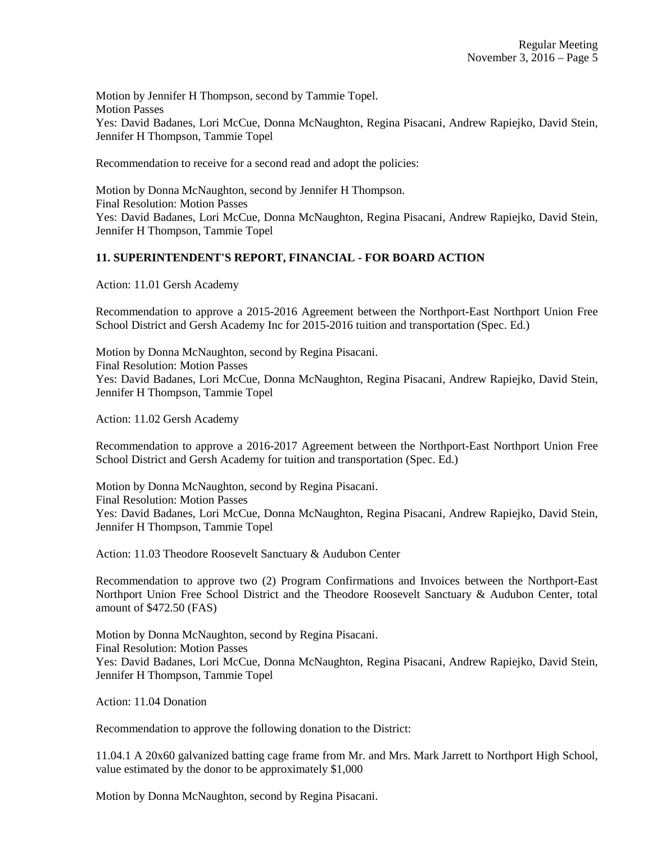Motion by Jennifer H Thompson, second by Tammie Topel. Motion Passes Yes: David Badanes, Lori McCue, Donna McNaughton, Regina Pisacani, Andrew Rapiejko, David Stein, Jennifer H Thompson, Tammie Topel

Recommendation to receive for a second read and adopt the policies:

Motion by Donna McNaughton, second by Jennifer H Thompson. Final Resolution: Motion Passes Yes: David Badanes, Lori McCue, Donna McNaughton, Regina Pisacani, Andrew Rapiejko, David Stein, Jennifer H Thompson, Tammie Topel

# **11. SUPERINTENDENT'S REPORT, FINANCIAL - FOR BOARD ACTION**

Action: 11.01 Gersh Academy

Recommendation to approve a 2015-2016 Agreement between the Northport-East Northport Union Free School District and Gersh Academy Inc for 2015-2016 tuition and transportation (Spec. Ed.)

Motion by Donna McNaughton, second by Regina Pisacani. Final Resolution: Motion Passes Yes: David Badanes, Lori McCue, Donna McNaughton, Regina Pisacani, Andrew Rapiejko, David Stein, Jennifer H Thompson, Tammie Topel

Action: 11.02 Gersh Academy

Recommendation to approve a 2016-2017 Agreement between the Northport-East Northport Union Free School District and Gersh Academy for tuition and transportation (Spec. Ed.)

Motion by Donna McNaughton, second by Regina Pisacani. Final Resolution: Motion Passes Yes: David Badanes, Lori McCue, Donna McNaughton, Regina Pisacani, Andrew Rapiejko, David Stein, Jennifer H Thompson, Tammie Topel

Action: 11.03 Theodore Roosevelt Sanctuary & Audubon Center

Recommendation to approve two (2) Program Confirmations and Invoices between the Northport-East Northport Union Free School District and the Theodore Roosevelt Sanctuary & Audubon Center, total amount of \$472.50 (FAS)

Motion by Donna McNaughton, second by Regina Pisacani. Final Resolution: Motion Passes Yes: David Badanes, Lori McCue, Donna McNaughton, Regina Pisacani, Andrew Rapiejko, David Stein, Jennifer H Thompson, Tammie Topel

Action: 11.04 Donation

Recommendation to approve the following donation to the District:

11.04.1 A 20x60 galvanized batting cage frame from Mr. and Mrs. Mark Jarrett to Northport High School, value estimated by the donor to be approximately \$1,000

Motion by Donna McNaughton, second by Regina Pisacani.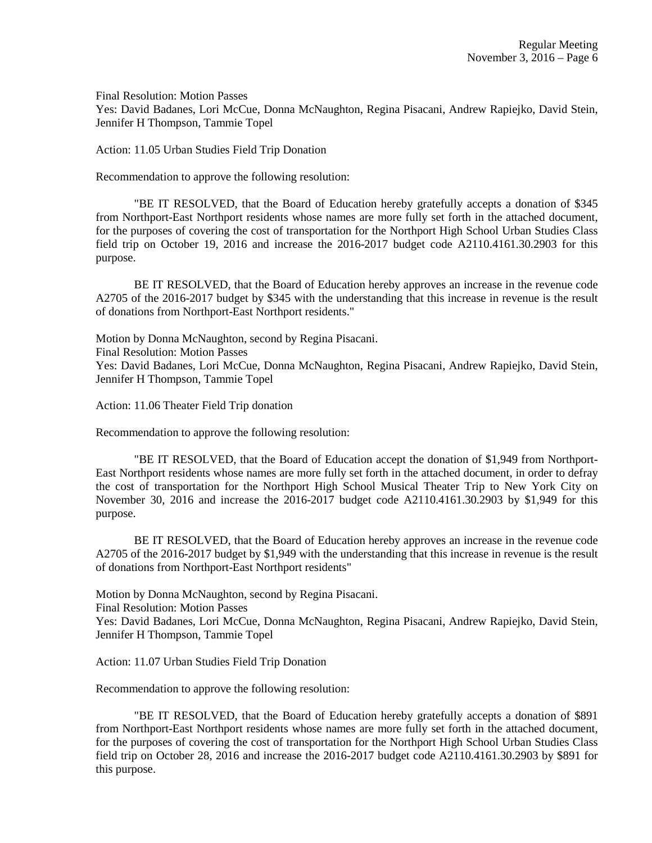Final Resolution: Motion Passes

Yes: David Badanes, Lori McCue, Donna McNaughton, Regina Pisacani, Andrew Rapiejko, David Stein, Jennifer H Thompson, Tammie Topel

Action: 11.05 Urban Studies Field Trip Donation

Recommendation to approve the following resolution:

"BE IT RESOLVED, that the Board of Education hereby gratefully accepts a donation of \$345 from Northport-East Northport residents whose names are more fully set forth in the attached document, for the purposes of covering the cost of transportation for the Northport High School Urban Studies Class field trip on October 19, 2016 and increase the 2016-2017 budget code A2110.4161.30.2903 for this purpose.

BE IT RESOLVED, that the Board of Education hereby approves an increase in the revenue code A2705 of the 2016-2017 budget by \$345 with the understanding that this increase in revenue is the result of donations from Northport-East Northport residents."

Motion by Donna McNaughton, second by Regina Pisacani. Final Resolution: Motion Passes Yes: David Badanes, Lori McCue, Donna McNaughton, Regina Pisacani, Andrew Rapiejko, David Stein, Jennifer H Thompson, Tammie Topel

Action: 11.06 Theater Field Trip donation

Recommendation to approve the following resolution:

"BE IT RESOLVED, that the Board of Education accept the donation of \$1,949 from Northport-East Northport residents whose names are more fully set forth in the attached document, in order to defray the cost of transportation for the Northport High School Musical Theater Trip to New York City on November 30, 2016 and increase the 2016-2017 budget code A2110.4161.30.2903 by \$1,949 for this purpose.

BE IT RESOLVED, that the Board of Education hereby approves an increase in the revenue code A2705 of the 2016-2017 budget by \$1,949 with the understanding that this increase in revenue is the result of donations from Northport-East Northport residents"

Motion by Donna McNaughton, second by Regina Pisacani.

Final Resolution: Motion Passes

Yes: David Badanes, Lori McCue, Donna McNaughton, Regina Pisacani, Andrew Rapiejko, David Stein, Jennifer H Thompson, Tammie Topel

Action: 11.07 Urban Studies Field Trip Donation

Recommendation to approve the following resolution:

"BE IT RESOLVED, that the Board of Education hereby gratefully accepts a donation of \$891 from Northport-East Northport residents whose names are more fully set forth in the attached document, for the purposes of covering the cost of transportation for the Northport High School Urban Studies Class field trip on October 28, 2016 and increase the 2016-2017 budget code A2110.4161.30.2903 by \$891 for this purpose.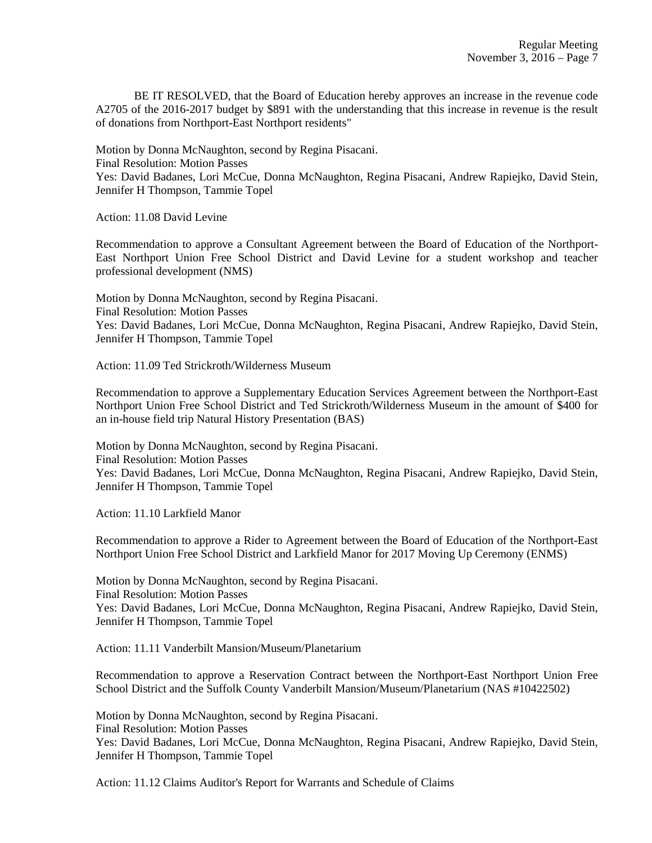BE IT RESOLVED, that the Board of Education hereby approves an increase in the revenue code A2705 of the 2016-2017 budget by \$891 with the understanding that this increase in revenue is the result of donations from Northport-East Northport residents"

Motion by Donna McNaughton, second by Regina Pisacani.

Final Resolution: Motion Passes

Yes: David Badanes, Lori McCue, Donna McNaughton, Regina Pisacani, Andrew Rapiejko, David Stein, Jennifer H Thompson, Tammie Topel

Action: 11.08 David Levine

Recommendation to approve a Consultant Agreement between the Board of Education of the Northport-East Northport Union Free School District and David Levine for a student workshop and teacher professional development (NMS)

Motion by Donna McNaughton, second by Regina Pisacani. Final Resolution: Motion Passes Yes: David Badanes, Lori McCue, Donna McNaughton, Regina Pisacani, Andrew Rapiejko, David Stein, Jennifer H Thompson, Tammie Topel

Action: 11.09 Ted Strickroth/Wilderness Museum

Recommendation to approve a Supplementary Education Services Agreement between the Northport-East Northport Union Free School District and Ted Strickroth/Wilderness Museum in the amount of \$400 for an in-house field trip Natural History Presentation (BAS)

Motion by Donna McNaughton, second by Regina Pisacani. Final Resolution: Motion Passes Yes: David Badanes, Lori McCue, Donna McNaughton, Regina Pisacani, Andrew Rapiejko, David Stein, Jennifer H Thompson, Tammie Topel

Action: 11.10 Larkfield Manor

Recommendation to approve a Rider to Agreement between the Board of Education of the Northport-East Northport Union Free School District and Larkfield Manor for 2017 Moving Up Ceremony (ENMS)

Motion by Donna McNaughton, second by Regina Pisacani. Final Resolution: Motion Passes Yes: David Badanes, Lori McCue, Donna McNaughton, Regina Pisacani, Andrew Rapiejko, David Stein, Jennifer H Thompson, Tammie Topel

Action: 11.11 Vanderbilt Mansion/Museum/Planetarium

Recommendation to approve a Reservation Contract between the Northport-East Northport Union Free School District and the Suffolk County Vanderbilt Mansion/Museum/Planetarium (NAS #10422502)

Motion by Donna McNaughton, second by Regina Pisacani.

Final Resolution: Motion Passes

Yes: David Badanes, Lori McCue, Donna McNaughton, Regina Pisacani, Andrew Rapiejko, David Stein, Jennifer H Thompson, Tammie Topel

Action: 11.12 Claims Auditor's Report for Warrants and Schedule of Claims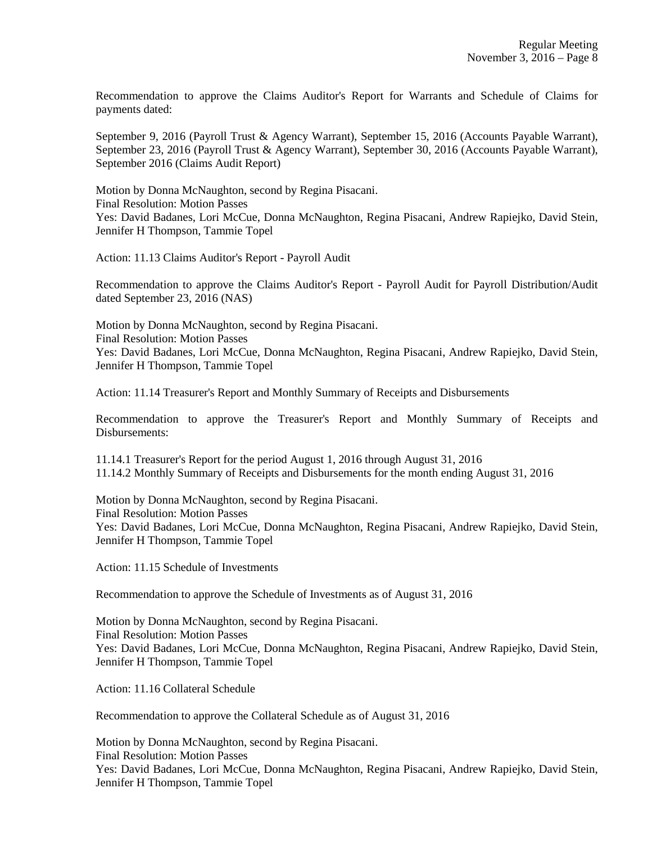Recommendation to approve the Claims Auditor's Report for Warrants and Schedule of Claims for payments dated:

September 9, 2016 (Payroll Trust & Agency Warrant), September 15, 2016 (Accounts Payable Warrant), September 23, 2016 (Payroll Trust & Agency Warrant), September 30, 2016 (Accounts Payable Warrant), September 2016 (Claims Audit Report)

Motion by Donna McNaughton, second by Regina Pisacani. Final Resolution: Motion Passes Yes: David Badanes, Lori McCue, Donna McNaughton, Regina Pisacani, Andrew Rapiejko, David Stein, Jennifer H Thompson, Tammie Topel

Action: 11.13 Claims Auditor's Report - Payroll Audit

Recommendation to approve the Claims Auditor's Report - Payroll Audit for Payroll Distribution/Audit dated September 23, 2016 (NAS)

Motion by Donna McNaughton, second by Regina Pisacani. Final Resolution: Motion Passes Yes: David Badanes, Lori McCue, Donna McNaughton, Regina Pisacani, Andrew Rapiejko, David Stein, Jennifer H Thompson, Tammie Topel

Action: 11.14 Treasurer's Report and Monthly Summary of Receipts and Disbursements

Recommendation to approve the Treasurer's Report and Monthly Summary of Receipts and Disbursements:

11.14.1 Treasurer's Report for the period August 1, 2016 through August 31, 2016 11.14.2 Monthly Summary of Receipts and Disbursements for the month ending August 31, 2016

Motion by Donna McNaughton, second by Regina Pisacani. Final Resolution: Motion Passes Yes: David Badanes, Lori McCue, Donna McNaughton, Regina Pisacani, Andrew Rapiejko, David Stein, Jennifer H Thompson, Tammie Topel

Action: 11.15 Schedule of Investments

Recommendation to approve the Schedule of Investments as of August 31, 2016

Motion by Donna McNaughton, second by Regina Pisacani. Final Resolution: Motion Passes Yes: David Badanes, Lori McCue, Donna McNaughton, Regina Pisacani, Andrew Rapiejko, David Stein, Jennifer H Thompson, Tammie Topel

Action: 11.16 Collateral Schedule

Recommendation to approve the Collateral Schedule as of August 31, 2016

Motion by Donna McNaughton, second by Regina Pisacani. Final Resolution: Motion Passes Yes: David Badanes, Lori McCue, Donna McNaughton, Regina Pisacani, Andrew Rapiejko, David Stein, Jennifer H Thompson, Tammie Topel